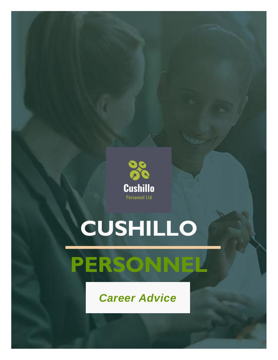

# **CUSHILLO**



*Career Advice*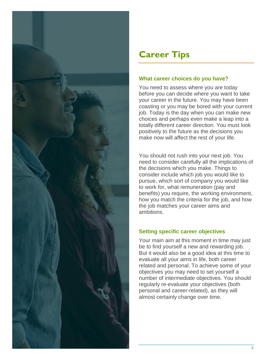

# **Career Tips**

## **What career choices do you have?**

You need to assess where you are today before you can decide where you want to take your career in the future. You may have been coasting or you may be bored with your current job. Today is the day when you can make new choices and perhaps even make a leap into a totally different career direction. You must look positively to the future as the decisions you make now will affect the rest of your life.

You should not rush into your next job. You need to consider carefully all the implications of the decisions which you make. Things to consider include which job you would like to pursue, which sort of company you would like to work for, what remuneration (pay and benefits) you require, the working environment, how you match the criteria for the job, and how the job matches your career aims and ambitions.

# **Setting specific career objectives**

Your main aim at this moment in time may just be to find yourself a new and rewarding job. But it would also be a good idea at this time to evaluate all your aims in life, both career related and personal. To achieve some of your objectives you may need to set yourself a number of intermediate objectives. You should regularly re-evaluate your objectives (both personal and career-related), as they will almost certainly change over time.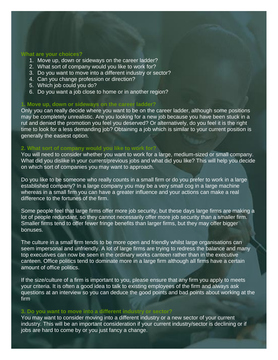#### **What are your choices?**

- 1. Move up, down or sideways on the career ladder?
- 2. What sort of company would you like to work for?
- 3. Do you want to move into a different industry or sector?
- 4. Can you change profession or direction?
- 5. Which job could you do?
- 6. Do you want a job close to home or in another region?

#### **1. Move up, down or sideways on the career ladder?**

Only you can really decide where you want to be on the career ladder, although some positions may be completely unrealistic. Are you looking for a new job because you have been stuck in a rut and denied the promotion you feel you deserved? Or alternatively, do you feel it is the right time to look for a less demanding job? Obtaining a job which is similar to your current position is generally the easiest option.

#### **2. What sort of company would you like to work for?**

You will need to consider whether you want to work for a large, medium-sized or small company. What did you dislike in your current/previous jobs and what did you like? This will help you decide on which sort of companies you may want to approach.

Do you like to be someone who really counts in a small firm or do you prefer to work in a large established company? In a large company you may be a very small cog in a large machine whereas in a small firm you can have a greater influence and your actions can make a real difference to the fortunes of the firm.

Some people feel that large firms offer more job security, but these days large firms are making a lot of people redundant, so they cannot necessarily offer more job security than a smaller firm. Smaller firms tend to offer fewer fringe benefits than larger firms, but they may offer bigger bonuses.

The culture in a small firm tends to be more open and friendly whilst large organisations can seem impersonal and unfriendly. A lot of large firms are trying to redress the balance and many top executives can now be seen in the ordinary works canteen rather than in the executive canteen. Office politics tend to dominate more in a large firm although all firms have a certain amount of office politics.

If the size/culture of a firm is important to you, please ensure that any firm you apply to meets your criteria. It is often a good idea to talk to existing employees of the firm and always ask questions at an interview so you can deduce the good points and bad points about working at the firm.

#### **3. Do you want to move into a different industry or sector?**

You may want to consider moving into a different industry or a new sector of your current industry. This will be an important consideration if your current industry/sector is declining or if jobs are hard to come by or you just fancy a change.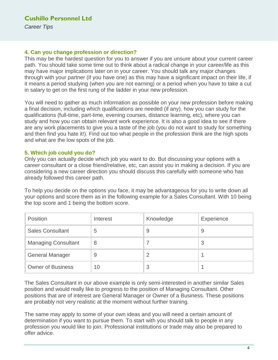### **4. Can you change profession or direction?**

This may be the hardest question for you to answer if you are unsure about your current career path. You should take some time out to think about a radical change in your career/life as this may have major implications later on in your career. You should talk any major changes through with your partner (if you have one) as this may have a significant impact on their life, if it means a period studying (when you are not earning) or a period when you have to take a cut in salary to get on the first rung of the ladder in your new profession.

You will need to gather as much information as possible on your new profession before making a final decision, including which qualifications are needed (if any), how you can study for the qualifications (full-time, part-time, evening courses, distance learning, etc), where you can study and how you can obtain relevant work experience. It is also a good idea to see if there are any work placements to give you a taste of the job (you do not want to study for something and then find you hate it!). Find out too what people in the profession think are the high spots and what are the low spots of the job.

### **5. Which job could you do?**

Only you can actually decide which job you want to do. But discussing your options with a career consultant or a close friend/relative, etc, can assist you in making a decision. If you are considering a new career direction you should discuss this carefully with someone who has already followed this career path.

To help you decide on the options you face, it may be advantageous for you to write down all your options and score them as in the following example for a Sales Consultant. With 10 being the top score and 1 being the bottom score.

| Position                   | Interest | Knowledge | Experience |
|----------------------------|----------|-----------|------------|
| <b>Sales Consultant</b>    | b        | 9         | 9          |
| <b>Managing Consultant</b> | 8        |           | 3          |
| <b>General Manager</b>     | 9        | 2         |            |
| <b>Owner of Business</b>   | 10       | 3         |            |

The Sales Consultant in our above example is only semi-interested in another similar Sales position and would really like to progress to the position of Managing Consultant. Other positions that are of interest are General Manager or Owner of a Business. These positions are probably not very realistic at the moment without further training.

The same may apply to some of your own ideas and you will need a certain amount of determination if you want to pursue them. To start with you should talk to people in any profession you would like to join. Professional institutions or trade may also be prepared to offer advice.